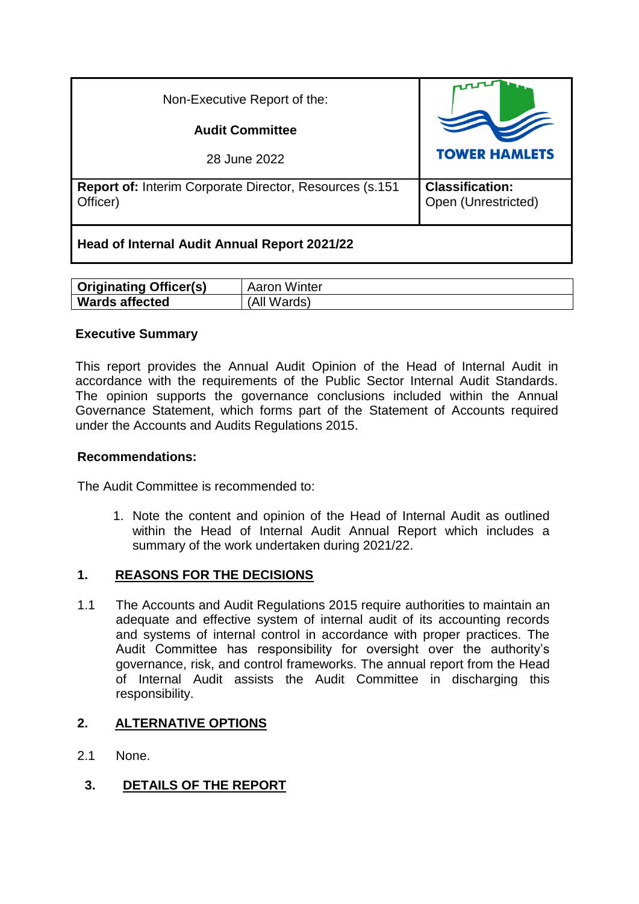| Non-Executive Report of the:                                                |                                               |
|-----------------------------------------------------------------------------|-----------------------------------------------|
| <b>Audit Committee</b>                                                      |                                               |
| 28 June 2022                                                                | <b>TOWER HAMLETS</b>                          |
| <b>Report of: Interim Corporate Director, Resources (s.151)</b><br>Officer) | <b>Classification:</b><br>Open (Unrestricted) |
| Head of Internal Audit Annual Report 2021/22                                |                                               |

| <b>Originating Officer(s)</b> | Aaron Winter   |
|-------------------------------|----------------|
| <b>Wards affected</b>         | Wards)<br>(All |

#### **Executive Summary**

This report provides the Annual Audit Opinion of the Head of Internal Audit in accordance with the requirements of the Public Sector Internal Audit Standards. The opinion supports the governance conclusions included within the Annual Governance Statement, which forms part of the Statement of Accounts required under the Accounts and Audits Regulations 2015.

#### **Recommendations:**

The Audit Committee is recommended to:

1. Note the content and opinion of the Head of Internal Audit as outlined within the Head of Internal Audit Annual Report which includes a summary of the work undertaken during 2021/22.

## **1. REASONS FOR THE DECISIONS**

1.1 The Accounts and Audit Regulations 2015 require authorities to maintain an adequate and effective system of internal audit of its accounting records and systems of internal control in accordance with proper practices. The Audit Committee has responsibility for oversight over the authority's governance, risk, and control frameworks. The annual report from the Head of Internal Audit assists the Audit Committee in discharging this responsibility.

## **2. ALTERNATIVE OPTIONS**

- 2.1 None.
	- **3. DETAILS OF THE REPORT**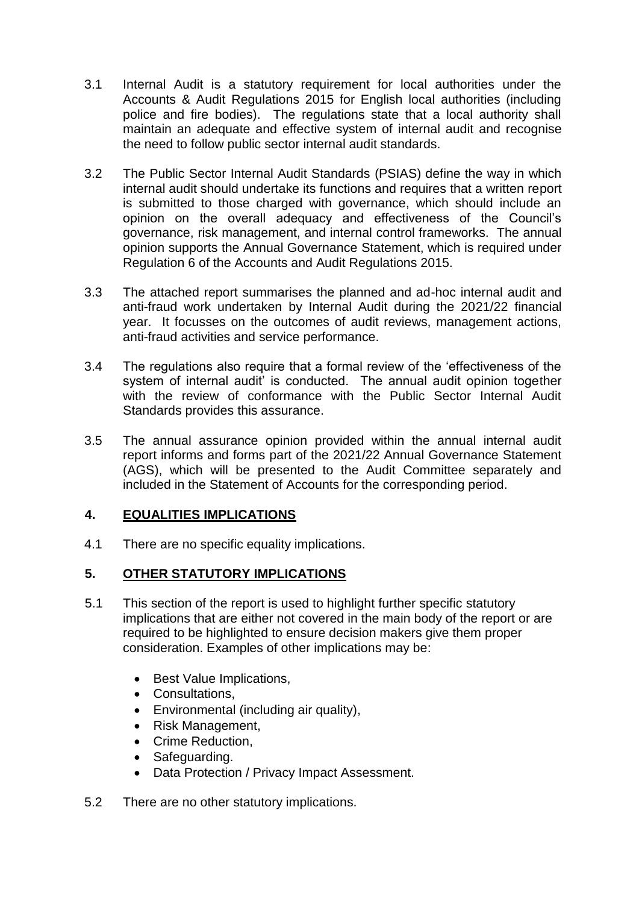- 3.1 Internal Audit is a statutory requirement for local authorities under the Accounts & Audit Regulations 2015 for English local authorities (including police and fire bodies). The regulations state that a local authority shall maintain an adequate and effective system of internal audit and recognise the need to follow public sector internal audit standards.
- 3.2 The Public Sector Internal Audit Standards (PSIAS) define the way in which internal audit should undertake its functions and requires that a written report is submitted to those charged with governance, which should include an opinion on the overall adequacy and effectiveness of the Council's governance, risk management, and internal control frameworks. The annual opinion supports the Annual Governance Statement, which is required under Regulation 6 of the Accounts and Audit Regulations 2015.
- 3.3 The attached report summarises the planned and ad-hoc internal audit and anti-fraud work undertaken by Internal Audit during the 2021/22 financial year. It focusses on the outcomes of audit reviews, management actions, anti-fraud activities and service performance.
- 3.4 The regulations also require that a formal review of the 'effectiveness of the system of internal audit' is conducted. The annual audit opinion together with the review of conformance with the Public Sector Internal Audit Standards provides this assurance.
- 3.5 The annual assurance opinion provided within the annual internal audit report informs and forms part of the 2021/22 Annual Governance Statement (AGS), which will be presented to the Audit Committee separately and included in the Statement of Accounts for the corresponding period.

## **4. EQUALITIES IMPLICATIONS**

4.1 There are no specific equality implications.

# **5. OTHER STATUTORY IMPLICATIONS**

- 5.1 This section of the report is used to highlight further specific statutory implications that are either not covered in the main body of the report or are required to be highlighted to ensure decision makers give them proper consideration. Examples of other implications may be:
	- Best Value Implications,
	- Consultations,
	- Environmental (including air quality),
	- Risk Management,
	- Crime Reduction.
	- Safeguarding.
	- Data Protection / Privacy Impact Assessment.
- 5.2 There are no other statutory implications.